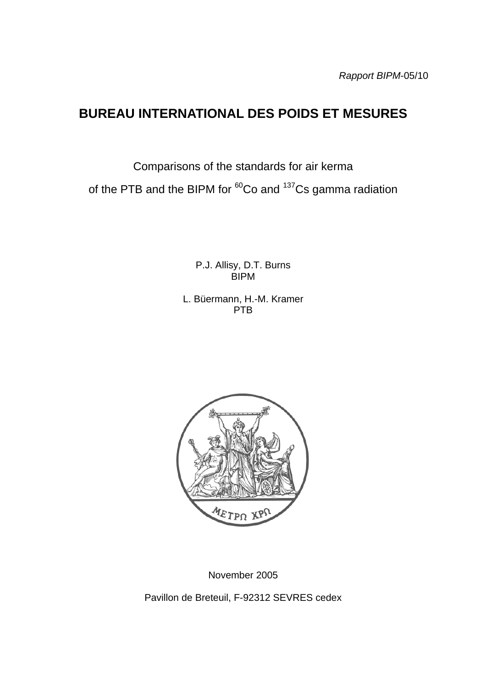# **BUREAU INTERNATIONAL DES POIDS ET MESURES**

Comparisons of the standards for air kerma

of the PTB and the BIPM for  ${}^{60}$ Co and  ${}^{137}$ Cs gamma radiation

P.J. Allisy, D.T. Burns BIPM

L. Büermann, H.-M. Kramer PTB



November 2005

Pavillon de Breteuil, F-92312 SEVRES cedex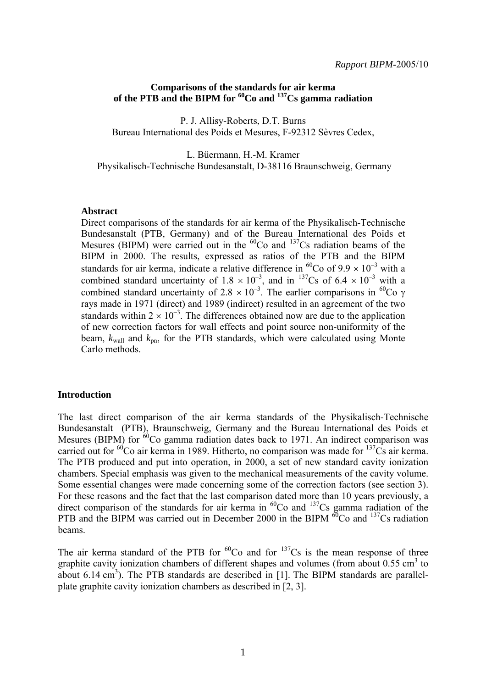## **Comparisons of the standards for air kerma of the PTB and the BIPM for 60Co and 137Cs gamma radiation**

P. J. Allisy-Roberts, D.T. Burns Bureau International des Poids et Mesures, F-92312 Sèvres Cedex,

L. Büermann, H.-M. Kramer Physikalisch-Technische Bundesanstalt, D-38116 Braunschweig, Germany

#### **Abstract**

Direct comparisons of the standards for air kerma of the Physikalisch-Technische Bundesanstalt (PTB, Germany) and of the Bureau International des Poids et Mesures (BIPM) were carried out in the  ${}^{60}Co$  and  ${}^{137}Cs$  radiation beams of the BIPM in 2000. The results, expressed as ratios of the PTB and the BIPM standards for air kerma, indicate a relative difference in <sup>60</sup>Co of  $9.9 \times 10^{-3}$  with a combined standard uncertainty of  $1.8 \times 10^{-3}$ , and in <sup>137</sup>Cs of  $6.4 \times 10^{-3}$  with a combined standard uncertainty of 2.8  $\times$  10<sup>-3</sup>. The earlier comparisons in <sup>60</sup>Co  $\gamma$ rays made in 1971 (direct) and 1989 (indirect) resulted in an agreement of the two standards within  $2 \times 10^{-3}$ . The differences obtained now are due to the application of new correction factors for wall effects and point source non-uniformity of the beam,  $k_{wall}$  and  $k_{nn}$ , for the PTB standards, which were calculated using Monte Carlo methods.

#### **Introduction**

The last direct comparison of the air kerma standards of the Physikalisch-Technische Bundesanstalt (PTB), Braunschweig, Germany and the Bureau International des Poids et Mesures (BIPM) for  $60^{\circ}$ Co gamma radiation dates back to 1971. An indirect comparison was carried out for  ${}^{60}$ Co air kerma in 1989. Hitherto, no comparison was made for  ${}^{137}$ Cs air kerma. The PTB produced and put into operation, in 2000, a set of new standard cavity ionization chambers. Special emphasis was given to the mechanical measurements of the cavity volume. Some essential changes were made concerning some of the correction factors (see section 3). For these reasons and the fact that the last comparison dated more than 10 years previously, a direct comparison of the standards for air kerma in  ${}^{60}Co$  and  ${}^{137}Cs$  gamma radiation of the PTB and the BIPM was carried out in December 2000 in the BIPM  ${}^{60}$ Co and  ${}^{137}$ Cs radiation beams.

The air kerma standard of the PTB for  ${}^{60}Co$  and for  ${}^{137}Cs$  is the mean response of three graphite cavity ionization chambers of different shapes and volumes (from about  $0.55 \text{ cm}^3$  to about 6.14  $\text{cm}^3$ ). The PTB standards are described in [1]. The BIPM standards are parallelplate graphite cavity ionization chambers as described in [2, 3].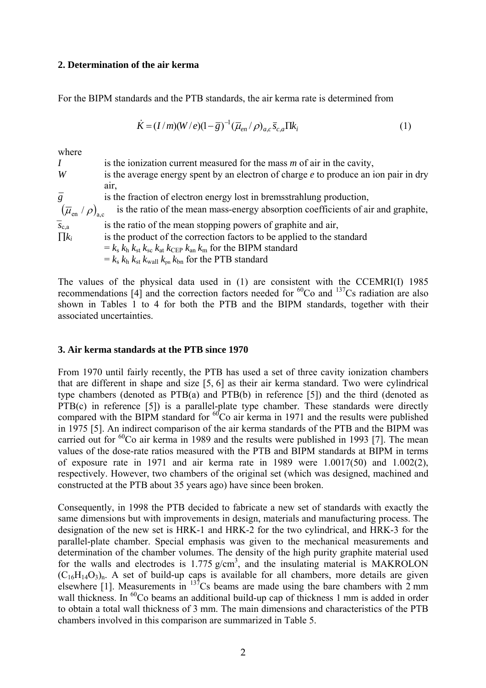## **2. Determination of the air kerma**

For the BIPM standards and the PTB standards, the air kerma rate is determined from

$$
\dot{K} = (I/m)(W/e)(1-\overline{g})^{-1}(\overline{\mu}_{en}/\rho)_{a,c}\overline{s}_{c,a}\Pi k_i
$$
 (1)

where

| I                                                  | is the ionization current measured for the mass $m$ of air in the cavity,              |
|----------------------------------------------------|----------------------------------------------------------------------------------------|
| W                                                  | is the average energy spent by an electron of charge $e$ to produce an ion pair in dry |
|                                                    | air.                                                                                   |
| $\bar{g}$                                          | is the fraction of electron energy lost in bremsstrahlung production,                  |
| $(\overline{\mu}_{\text{en}} / \rho)_{\text{a.c}}$ | is the ratio of the mean mass-energy absorption coefficients of air and graphite,      |
| $\overline{s}_{c,a}$                               | is the ratio of the mean stopping powers of graphite and air,                          |
| $\prod k_i$                                        | is the product of the correction factors to be applied to the standard                 |
|                                                    | $k = k_s k_h k_{st} k_{sc} k_{at} k_{CEP} k_{an} k_m$ for the BIPM standard            |
|                                                    | $= k_s k_h k_{st} k_{wall} k_{pn} k_{bn}$ for the PTB standard                         |
|                                                    |                                                                                        |

The values of the physical data used in (1) are consistent with the CCEMRI(I) 1985 recommendations  $[4]$  and the correction factors needed for <sup>60</sup>Co and <sup>137</sup>Cs radiation are also shown in Tables 1 to 4 for both the PTB and the BIPM standards, together with their associated uncertainties.

# **3. Air kerma standards at the PTB since 1970**

From 1970 until fairly recently, the PTB has used a set of three cavity ionization chambers that are different in shape and size [5, 6] as their air kerma standard. Two were cylindrical type chambers (denoted as PTB(a) and PTB(b) in reference [5]) and the third (denoted as PTB(c) in reference [5]) is a parallel-plate type chamber. These standards were directly compared with the BIPM standard for  ${}^{60}Co$  air kerma in 1971 and the results were published in 1975 [5]. An indirect comparison of the air kerma standards of the PTB and the BIPM was carried out for  ${}^{60}$ Co air kerma in 1989 and the results were published in 1993 [7]. The mean values of the dose-rate ratios measured with the PTB and BIPM standards at BIPM in terms of exposure rate in 1971 and air kerma rate in 1989 were 1.0017(50) and 1.002(2), respectively. However, two chambers of the original set (which was designed, machined and constructed at the PTB about 35 years ago) have since been broken.

Consequently, in 1998 the PTB decided to fabricate a new set of standards with exactly the same dimensions but with improvements in design, materials and manufacturing process. The designation of the new set is HRK-1 and HRK-2 for the two cylindrical, and HRK-3 for the parallel-plate chamber. Special emphasis was given to the mechanical measurements and determination of the chamber volumes. The density of the high purity graphite material used for the walls and electrodes is  $1.775$  g/cm<sup>3</sup>, and the insulating material is MAKROLON  $(C_{16}H_{14}O_3)$ <sub>n</sub>. A set of build-up caps is available for all chambers, more details are given elsewhere [1]. Measurements in  $137$ Cs beams are made using the bare chambers with 2 mm wall thickness. In <sup>60</sup>Co beams an additional build-up cap of thickness 1 mm is added in order to obtain a total wall thickness of 3 mm. The main dimensions and characteristics of the PTB chambers involved in this comparison are summarized in Table 5.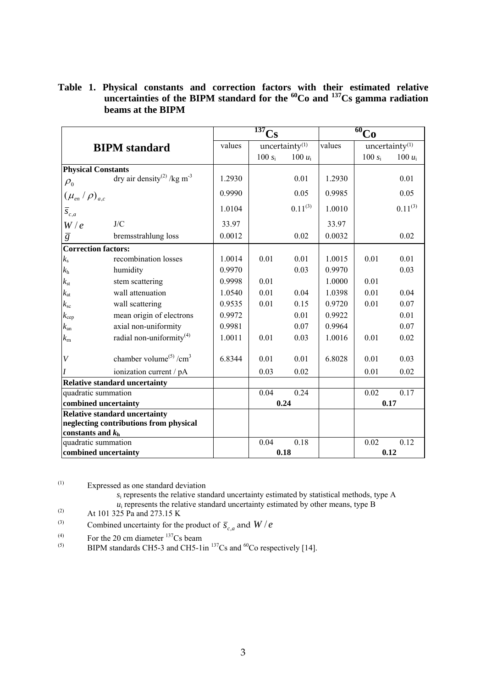**Table 1. Physical constants and correction factors with their estimated relative uncertainties of the BIPM standard for the 60Co and 137Cs gamma radiation beams at the BIPM** 

|                                                               |                                                    |        | 137<br>$\cap_{\mathbf{S}}$ |                   |        | $\overline{60}$ Co |                   |  |
|---------------------------------------------------------------|----------------------------------------------------|--------|----------------------------|-------------------|--------|--------------------|-------------------|--|
|                                                               | <b>BIPM</b> standard                               | values |                            | uncertainty $(1)$ | values |                    | uncertainty $(1)$ |  |
|                                                               |                                                    |        | 100 $s_i$                  | 100 $u_i$         |        | 100 $s_i$          | 100 $u_i$         |  |
| <b>Physical Constants</b>                                     |                                                    |        |                            |                   |        |                    |                   |  |
| $\rho_{0}$                                                    | dry air density <sup>(2)</sup> /kg m <sup>-3</sup> | 1.2930 |                            | 0.01              | 1.2930 |                    | 0.01              |  |
| $(\mu_{\scriptscriptstyle en}/\rho)_{\scriptscriptstyle a,c}$ |                                                    | 0.9990 |                            | 0.05              | 0.9985 |                    | 0.05              |  |
| $\overline{s}_{c,a}$                                          |                                                    | 1.0104 |                            | $0.11^{(3)}$      | 1.0010 |                    | $0.11^{(3)}$      |  |
| W/e                                                           | J/C                                                | 33.97  |                            |                   | 33.97  |                    |                   |  |
| $\overline{g}$                                                | bremsstrahlung loss                                | 0.0012 |                            | 0.02              | 0.0032 |                    | 0.02              |  |
| <b>Correction factors:</b>                                    |                                                    |        |                            |                   |        |                    |                   |  |
| $k_{\rm s}$                                                   | recombination losses                               | 1.0014 | 0.01                       | 0.01              | 1.0015 | 0.01               | 0.01              |  |
| $k_{\rm h}$                                                   | humidity                                           | 0.9970 |                            | 0.03              | 0.9970 |                    | 0.03              |  |
| $k_{\rm st}$                                                  | stem scattering                                    | 0.9998 | 0.01                       |                   | 1.0000 | 0.01               |                   |  |
| $k_{\rm at}$                                                  | wall attenuation                                   | 1.0540 | 0.01                       | 0.04              | 1.0398 | 0.01               | 0.04              |  |
| $k_{\rm sc}$                                                  | wall scattering                                    | 0.9535 | 0.01                       | 0.15              | 0.9720 | 0.01               | 0.07              |  |
| $k_{\rm cep}$                                                 | mean origin of electrons                           | 0.9972 |                            | 0.01              | 0.9922 |                    | 0.01              |  |
| $k_{\rm an}$                                                  | axial non-uniformity                               | 0.9981 |                            | 0.07              | 0.9964 |                    | 0.07              |  |
| $k_{\rm rn}$                                                  | radial non-uniformity <sup>(4)</sup>               | 1.0011 | 0.01                       | 0.03              | 1.0016 | 0.01               | 0.02              |  |
| $\bar{V}$                                                     | chamber volume <sup>(5)</sup> / $cm3$              | 6.8344 | 0.01                       | 0.01              | 6.8028 | 0.01               | 0.03              |  |
|                                                               | ionization current / pA                            |        | 0.03                       | 0.02              |        | 0.01               | 0.02              |  |
|                                                               | <b>Relative standard uncertainty</b>               |        |                            |                   |        |                    |                   |  |
| quadratic summation                                           |                                                    |        | 0.04                       | 0.24              |        | 0.02               | 0.17              |  |
| combined uncertainty                                          |                                                    |        |                            | 0.24              |        |                    | 0.17              |  |
| <b>Relative standard uncertainty</b>                          |                                                    |        |                            |                   |        |                    |                   |  |
| neglecting contributions from physical                        |                                                    |        |                            |                   |        |                    |                   |  |
| constants and $kh$                                            |                                                    |        |                            |                   |        |                    |                   |  |
| quadratic summation                                           |                                                    |        | 0.04                       | 0.18              |        | 0.02               | 0.12              |  |
| combined uncertainty                                          |                                                    |        | 0.18                       |                   |        |                    | 0.12              |  |

*s*i represents the relative standard uncertainty estimated by statistical methods, type A  $u_i$  represents the relative standard uncertainty estimated by other means, type B

- At 101 325 Pa and 273.15 K
- (3) Combined uncertainty for the product of  $\overline{s}_{c,a}$  and  $W/e$ <br>(4) For the 20 cm diameter <sup>137</sup>Cs beam
- 
- (5) BIPM standards CH5-3 and CH5-1in  $^{137}Cs$  and  $^{60}Co$  respectively [14].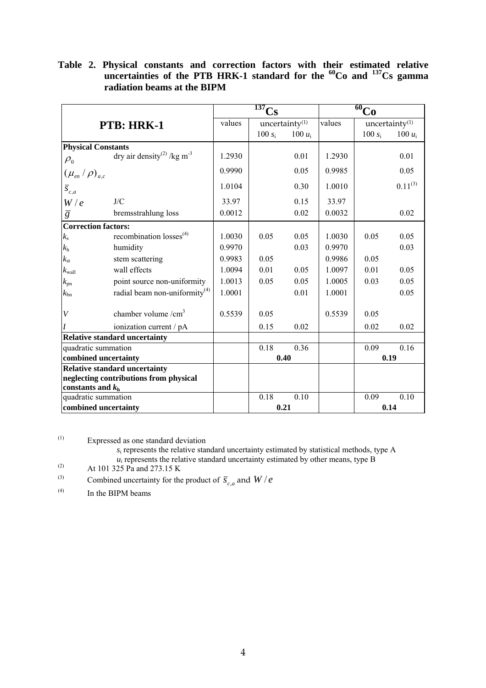|                                                              |                                                    |        | $\overline{^{137}}Cs$ |                            | $\overline{60}$ Co |           |                            |  |
|--------------------------------------------------------------|----------------------------------------------------|--------|-----------------------|----------------------------|--------------------|-----------|----------------------------|--|
|                                                              | <b>PTB: HRK-1</b>                                  | values |                       | uncertainty <sup>(1)</sup> | values             |           | uncertainty <sup>(1)</sup> |  |
|                                                              |                                                    |        | 100 $s_i$             | 100 $u_i$                  |                    | 100 $s_i$ | 100 $u_i$                  |  |
| <b>Physical Constants</b>                                    |                                                    |        |                       |                            |                    |           |                            |  |
| $\rho_{\scriptscriptstyle 0}$                                | dry air density <sup>(2)</sup> /kg m <sup>-3</sup> | 1.2930 |                       | 0.01                       | 1.2930             |           | 0.01                       |  |
| $(\mu_{e n}/\rho)_{a.c.}$                                    |                                                    | 0.9990 |                       | 0.05                       | 0.9985             |           | 0.05                       |  |
| $\overline{S}_{c,a}$                                         |                                                    | 1.0104 |                       | 0.30                       | 1.0010             |           | $0.11^{(3)}$               |  |
| W/e                                                          | J/C                                                | 33.97  |                       | 0.15                       | 33.97              |           |                            |  |
| $\overline{g}$                                               | bremsstrahlung loss                                | 0.0012 |                       | 0.02                       | 0.0032             |           | 0.02                       |  |
| <b>Correction factors:</b>                                   |                                                    |        |                       |                            |                    |           |                            |  |
| $k_{\rm s}$                                                  | recombination losses <sup>(4)</sup>                | 1.0030 | 0.05                  | 0.05                       | 1.0030             | 0.05      | 0.05                       |  |
| $k_{\rm h}$                                                  | humidity                                           | 0.9970 |                       | 0.03                       | 0.9970             |           | 0.03                       |  |
| $k_{\rm st}$                                                 | stem scattering                                    | 0.9983 | 0.05                  |                            | 0.9986             | 0.05      |                            |  |
| $k_{\rm wall}$                                               | wall effects                                       | 1.0094 | 0.01                  | 0.05                       | 1.0097             | 0.01      | 0.05                       |  |
| $k_{\rm pn}$                                                 | point source non-uniformity                        | 1.0013 | 0.05                  | 0.05                       | 1.0005             | 0.03      | 0.05                       |  |
| $k_{\rm bn}$                                                 | radial beam non-uniformity $(4)$                   | 1.0001 |                       | 0.01                       | 1.0001             |           | 0.05                       |  |
| $\bar{V}$                                                    | chamber volume $/cm3$                              | 0.5539 | 0.05                  |                            | 0.5539             | 0.05      |                            |  |
|                                                              | ionization current / pA                            |        | 0.15                  | 0.02                       |                    | 0.02      | 0.02                       |  |
|                                                              | <b>Relative standard uncertainty</b>               |        |                       |                            |                    |           |                            |  |
| quadratic summation                                          |                                                    |        | 0.18                  | 0.36                       |                    | 0.09      | 0.16                       |  |
| combined uncertainty                                         |                                                    |        | 0.40                  |                            |                    |           | 0.19                       |  |
|                                                              | <b>Relative standard uncertainty</b>               |        |                       |                            |                    |           |                            |  |
| neglecting contributions from physical<br>constants and $kh$ |                                                    |        |                       |                            |                    |           |                            |  |
| quadratic summation                                          |                                                    |        | 0.18                  | 0.10                       |                    | 0.09      | 0.10                       |  |
| combined uncertainty                                         |                                                    |        | 0.21                  |                            |                    |           | 0.14                       |  |

**Table 2. Physical constants and correction factors with their estimated relative uncertainties of the PTB HRK-1 standard for the 60Co and 137Cs gamma radiation beams at the BIPM** 

*s*i represents the relative standard uncertainty estimated by statistical methods, type A

- $u_i$  represents the relative standard uncertainty estimated by other means, type B
- (2) At 101 325 Pa and 273.15 K

(3) Combined uncertainty for the product of  $\overline{S}_{c,a}$  and  $W/e$ 

 $^{(4)}$  In the BIPM beams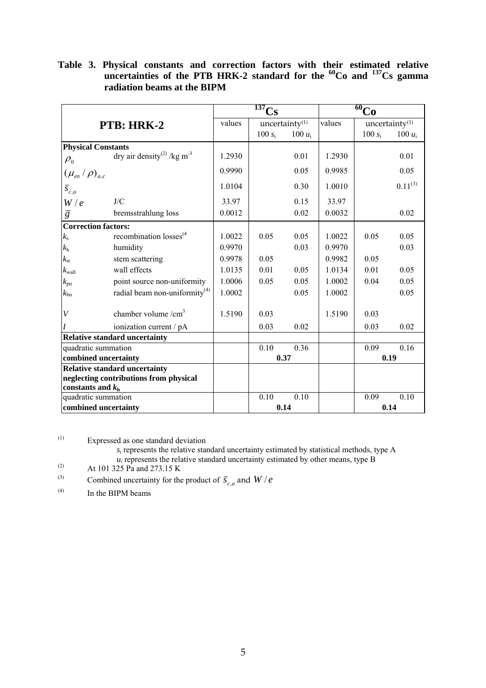|                                                              |                                                    |        | $\overline{^{137}}C_S$     |           | $\overline{60}$ Co |           |                   |
|--------------------------------------------------------------|----------------------------------------------------|--------|----------------------------|-----------|--------------------|-----------|-------------------|
|                                                              | PTB: HRK-2                                         | values | uncertainty <sup>(1)</sup> |           | values             |           | uncertainty $(1)$ |
|                                                              |                                                    |        | 100 $s_i$                  | 100 $u_i$ |                    | $100 s_i$ | 100 $u_i$         |
| <b>Physical Constants</b>                                    |                                                    |        |                            |           |                    |           |                   |
| $\rho_{\scriptscriptstyle 0}$                                | dry air density <sup>(2)</sup> /kg m <sup>-3</sup> | 1.2930 |                            | 0.01      | 1.2930             |           | 0.01              |
| $(\mu_{e n}/\rho)_{a.c.}$                                    |                                                    | 0.9990 |                            | 0.05      | 0.9985             |           | 0.05              |
| $\overline{S}_{c,a}$                                         |                                                    | 1.0104 |                            | 0.30      | 1.0010             |           | $0.11^{(3)}$      |
| W/e                                                          | J/C                                                | 33.97  |                            | 0.15      | 33.97              |           |                   |
| $\overline{g}$                                               | bremsstrahlung loss                                | 0.0012 |                            | 0.02      | 0.0032             |           | 0.02              |
| <b>Correction factors:</b>                                   |                                                    |        |                            |           |                    |           |                   |
| $k_{\rm s}$                                                  | recombination losses <sup>(4</sup>                 | 1.0022 | 0.05                       | 0.05      | 1.0022             | 0.05      | 0.05              |
| $k_{\rm h}$                                                  | humidity                                           | 0.9970 |                            | 0.03      | 0.9970             |           | 0.03              |
| $k_{\rm st}$                                                 | stem scattering                                    | 0.9978 | 0.05                       |           | 0.9982             | 0.05      |                   |
| $k_{\rm wall}$                                               | wall effects                                       | 1.0135 | 0.01                       | 0.05      | 1.0134             | 0.01      | 0.05              |
| $k_{\rm pn}$                                                 | point source non-uniformity                        | 1.0006 | 0.05                       | 0.05      | 1.0002             | 0.04      | 0.05              |
| $k_{\rm bn}$                                                 | radial beam non-uniformity <sup>(4)</sup>          | 1.0002 |                            | 0.05      | 1.0002             |           | 0.05              |
| $\boldsymbol{V}$                                             | chamber volume $/cm3$                              | 1.5190 | 0.03                       |           | 1.5190             | 0.03      |                   |
|                                                              | ionization current / pA                            |        | 0.03                       | 0.02      |                    | 0.03      | 0.02              |
|                                                              | <b>Relative standard uncertainty</b>               |        |                            |           |                    |           |                   |
| quadratic summation                                          |                                                    |        | 0.10                       | 0.36      |                    | 0.09      | 0.16              |
| combined uncertainty                                         |                                                    |        | 0.37                       |           |                    |           | 0.19              |
|                                                              | <b>Relative standard uncertainty</b>               |        |                            |           |                    |           |                   |
| neglecting contributions from physical<br>constants and $kh$ |                                                    |        |                            |           |                    |           |                   |
| quadratic summation                                          |                                                    |        | 0.10                       | 0.10      |                    | 0.09      | 0.10              |
| combined uncertainty                                         |                                                    |        | 0.14                       |           |                    |           | 0.14              |

**Table 3. Physical constants and correction factors with their estimated relative uncertainties of the PTB HRK-2 standard for the 60Co and 137Cs gamma radiation beams at the BIPM** 

*s*i represents the relative standard uncertainty estimated by statistical methods, type A

- $u_i$  represents the relative standard uncertainty estimated by other means, type B
- (2) At 101 325 Pa and 273.15 K

(3) Combined uncertainty for the product of  $\overline{S}_{c,a}$  and  $W/e$ 

 $^{(4)}$  In the BIPM beams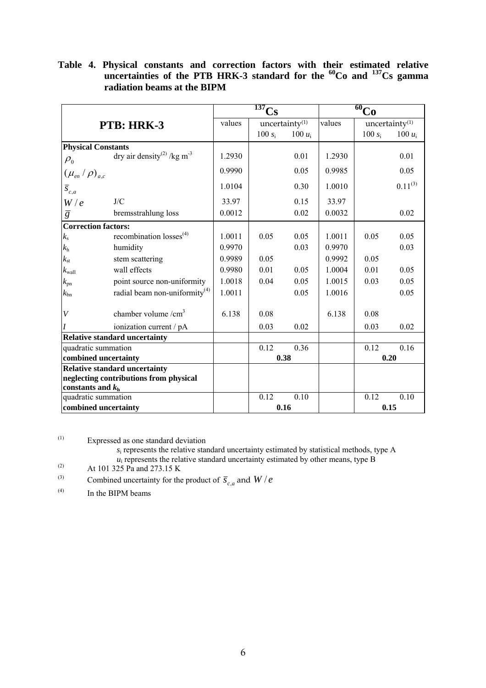|                                                              |                                                    |        | $\overline{137}$<br>$\overline{C}_{S}$ |                            | $\overline{60}$ Co |           |                   |
|--------------------------------------------------------------|----------------------------------------------------|--------|----------------------------------------|----------------------------|--------------------|-----------|-------------------|
|                                                              | PTB: HRK-3                                         | values |                                        | uncertainty <sup>(1)</sup> | values             |           | uncertainty $(1)$ |
|                                                              |                                                    |        | $100 s_i$                              | 100 $u_i$                  |                    | $100 s_i$ | 100 $u_i$         |
| <b>Physical Constants</b>                                    |                                                    |        |                                        |                            |                    |           |                   |
| $\rho_{\scriptscriptstyle 0}$                                | dry air density <sup>(2)</sup> /kg m <sup>-3</sup> | 1.2930 |                                        | 0.01                       | 1.2930             |           | 0.01              |
| $(\mu_{e n}/\rho)_{a.c.}$                                    |                                                    | 0.9990 |                                        | 0.05                       | 0.9985             |           | 0.05              |
| $\overline{S}_{c,a}$                                         |                                                    | 1.0104 |                                        | 0.30                       | 1.0010             |           | $0.11^{(3)}$      |
| W/e                                                          | J/C                                                | 33.97  |                                        | 0.15                       | 33.97              |           |                   |
| $\overline{g}$                                               | bremsstrahlung loss                                | 0.0012 |                                        | 0.02                       | 0.0032             |           | 0.02              |
| <b>Correction factors:</b>                                   |                                                    |        |                                        |                            |                    |           |                   |
| $k_{\rm s}$                                                  | recombination $losses^{(4)}$                       | 1.0011 | 0.05                                   | 0.05                       | 1.0011             | 0.05      | 0.05              |
| $k_{\rm h}$                                                  | humidity                                           | 0.9970 |                                        | 0.03                       | 0.9970             |           | 0.03              |
| $k_{\rm st}$                                                 | stem scattering                                    | 0.9989 | 0.05                                   |                            | 0.9992             | 0.05      |                   |
| $k_{\rm wall}$                                               | wall effects                                       | 0.9980 | 0.01                                   | 0.05                       | 1.0004             | 0.01      | 0.05              |
| $k_{\rm pn}$                                                 | point source non-uniformity                        | 1.0018 | 0.04                                   | 0.05                       | 1.0015             | 0.03      | 0.05              |
| $k_{\rm bn}$                                                 | radial beam non-uniformity <sup>(4)</sup>          | 1.0011 |                                        | 0.05                       | 1.0016             |           | 0.05              |
| V                                                            | chamber volume $/cm3$                              | 6.138  | 0.08                                   |                            | 6.138              | 0.08      |                   |
|                                                              | ionization current / pA                            |        | 0.03                                   | 0.02                       |                    | 0.03      | 0.02              |
|                                                              | <b>Relative standard uncertainty</b>               |        |                                        |                            |                    |           |                   |
| quadratic summation                                          |                                                    |        | 0.12                                   | 0.36                       |                    | 0.12      | 0.16              |
| combined uncertainty                                         |                                                    |        |                                        | 0.38                       |                    |           | 0.20              |
| <b>Relative standard uncertainty</b>                         |                                                    |        |                                        |                            |                    |           |                   |
| neglecting contributions from physical<br>constants and $kh$ |                                                    |        |                                        |                            |                    |           |                   |
| quadratic summation                                          |                                                    |        | 0.12                                   | 0.10                       |                    | 0.12      | 0.10              |
| combined uncertainty                                         |                                                    |        |                                        | 0.16                       |                    |           | 0.15              |

**Table 4. Physical constants and correction factors with their estimated relative uncertainties of the PTB HRK-3 standard for the 60Co and 137Cs gamma radiation beams at the BIPM** 

*s*i represents the relative standard uncertainty estimated by statistical methods, type A

- $u_i$  represents the relative standard uncertainty estimated by other means, type B
- (2) At 101 325 Pa and 273.15 K
- (3) Combined uncertainty for the product of  $\overline{S}_{c,a}$  and  $W/e$
- $^{(4)}$  In the BIPM beams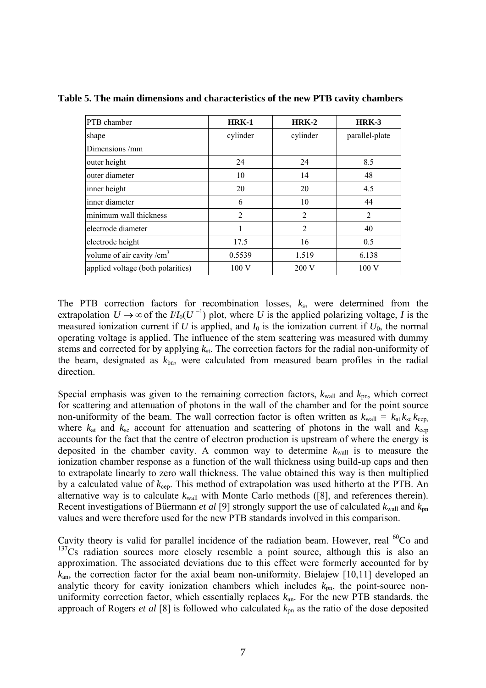| PTB chamber                          | $HRK-1$  | $HRK-2$        | HRK-3          |
|--------------------------------------|----------|----------------|----------------|
| shape                                | cylinder | cylinder       | parallel-plate |
| Dimensions/mm                        |          |                |                |
| outer height                         | 24       | 24             | 8.5            |
| outer diameter                       | 10       | 14             | 48             |
| inner height                         | 20       | 20             | 4.5            |
| inner diameter                       | 6        | 10             | 44             |
| minimum wall thickness               | 2        | 2              | $\overline{2}$ |
| electrode diameter                   |          | $\overline{2}$ | 40             |
| electrode height                     | 17.5     | 16             | 0.5            |
| volume of air cavity / $\text{cm}^3$ | 0.5539   | 1.519          | 6.138          |
| applied voltage (both polarities)    | 100V     | 200 V          | 100V           |

**Table 5. The main dimensions and characteristics of the new PTB cavity chambers** 

The PTB correction factors for recombination losses, *k*s, were determined from the extrapolation  $U \rightarrow \infty$  of the  $I/I_0(U^{-1})$  plot, where U is the applied polarizing voltage, I is the measured ionization current if *U* is applied, and  $I_0$  is the ionization current if  $U_0$ , the normal operating voltage is applied. The influence of the stem scattering was measured with dummy stems and corrected for by applying *k*st. The correction factors for the radial non-uniformity of the beam, designated as *k*bn, were calculated from measured beam profiles in the radial direction.

Special emphasis was given to the remaining correction factors,  $k_{\text{wall}}$  and  $k_{\text{pn}}$ , which correct for scattering and attenuation of photons in the wall of the chamber and for the point source non-uniformity of the beam. The wall correction factor is often written as  $k_{\text{wall}} = k_{\text{at}} k_{\text{sc}} k_{\text{cep}}$ , where  $k_{at}$  and  $k_{sc}$  account for attenuation and scattering of photons in the wall and  $k_{cep}$ accounts for the fact that the centre of electron production is upstream of where the energy is deposited in the chamber cavity. A common way to determine  $k_{\text{wall}}$  is to measure the ionization chamber response as a function of the wall thickness using build-up caps and then to extrapolate linearly to zero wall thickness. The value obtained this way is then multiplied by a calculated value of *k*cep. This method of extrapolation was used hitherto at the PTB. An alternative way is to calculate  $k_{wall}$  with Monte Carlo methods ([8], and references therein). Recent investigations of Büermann *et al* [9] strongly support the use of calculated *k*wall and *k*pn values and were therefore used for the new PTB standards involved in this comparison.

Cavity theory is valid for parallel incidence of the radiation beam. However, real <sup>60</sup>Co and  $137Cs$  radiation sources more closely resemble a point source, although this is also an approximation. The associated deviations due to this effect were formerly accounted for by *k*an, the correction factor for the axial beam non-uniformity. Bielajew [10,11] developed an analytic theory for cavity ionization chambers which includes  $k_{\text{on}}$ , the point-source nonuniformity correction factor, which essentially replaces *k*an. For the new PTB standards, the approach of Rogers *et al* [8] is followed who calculated *k*pn as the ratio of the dose deposited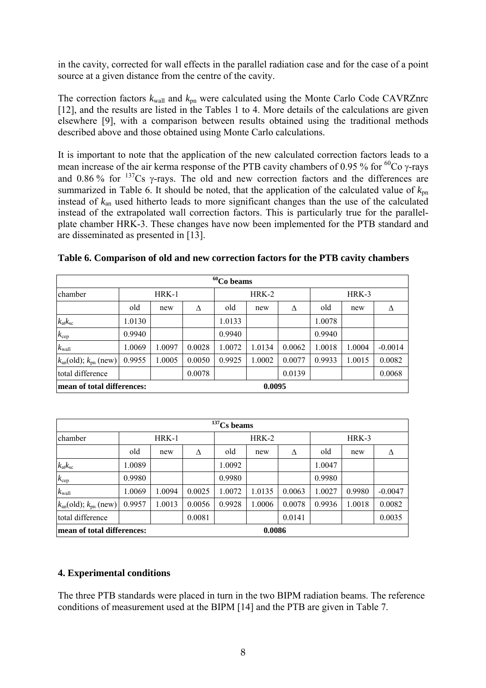in the cavity, corrected for wall effects in the parallel radiation case and for the case of a point source at a given distance from the centre of the cavity.

The correction factors  $k_{wall}$  and  $k_{pn}$  were calculated using the Monte Carlo Code CAVRZnrc [12], and the results are listed in the Tables 1 to 4. More details of the calculations are given elsewhere [9], with a comparison between results obtained using the traditional methods described above and those obtained using Monte Carlo calculations.

It is important to note that the application of the new calculated correction factors leads to a mean increase of the air kerma response of the PTB cavity chambers of 0.95 % for  ${}^{60}Co$  γ-rays and 0.86 % for  $137Cs$  y-rays. The old and new correction factors and the differences are summarized in Table 6. It should be noted, that the application of the calculated value of  $k_{nn}$ instead of *k*an used hitherto leads to more significant changes than the use of the calculated instead of the extrapolated wall correction factors. This is particularly true for the parallelplate chamber HRK-3. These changes have now been implemented for the PTB standard and are disseminated as presented in [13].

| $60$ Co beams                         |                                      |        |        |         |        |        |        |        |           |
|---------------------------------------|--------------------------------------|--------|--------|---------|--------|--------|--------|--------|-----------|
| chamber                               | $HRK-1$                              |        |        | $HRK-2$ |        |        | HRK-3  |        |           |
|                                       | old                                  | new    | Δ      | old     | new    | Δ      | old    | new    | Λ         |
| $k_{\rm at}k_{\rm sc}$                | 1.0130                               |        |        | 1.0133  |        |        | 1.0078 |        |           |
| $k_{\rm cep}$                         | 0.9940                               |        |        | 0.9940  |        |        | 0.9940 |        |           |
| $k_{\text{wall}}$                     | 1.0069                               | 1.0097 | 0.0028 | 1.0072  | 1.0134 | 0.0062 | 1.0018 | 1.0004 | $-0.0014$ |
| $k_{an}(\text{old})$ ; $k_{pn}$ (new) | 0.9955                               | 1.0005 | 0.0050 | 0.9925  | 1.0002 | 0.0077 | 0.9933 | 1.0015 | 0.0082    |
| total difference                      |                                      |        | 0.0078 |         |        | 0.0139 |        |        | 0.0068    |
|                                       | 0.0095<br>mean of total differences: |        |        |         |        |        |        |        |           |

|  |  |  |  |  |  | Table 6. Comparison of old and new correction factors for the PTB cavity chambers |
|--|--|--|--|--|--|-----------------------------------------------------------------------------------|
|--|--|--|--|--|--|-----------------------------------------------------------------------------------|

| $137$ Cs beams                        |        |         |        |        |        |        |        |        |           |
|---------------------------------------|--------|---------|--------|--------|--------|--------|--------|--------|-----------|
| chamber                               |        | $HRK-1$ | HRK-2  |        |        | HRK-3  |        |        |           |
|                                       | old    | new     | Δ      | old    | new    | Δ      | old    | new    | Δ         |
| $k_{\rm at}k_{\rm sc}$                | 1.0089 |         |        | 1.0092 |        |        | 1.0047 |        |           |
| $k_{\rm cep}$                         | 0.9980 |         |        | 0.9980 |        |        | 0.9980 |        |           |
| $k_{\rm wall}$                        | 1.0069 | 1.0094  | 0.0025 | 1.0072 | 1.0135 | 0.0063 | 1.0027 | 0.9980 | $-0.0047$ |
| $k_{an}(\text{old})$ ; $k_{pn}$ (new) | 0.9957 | 1.0013  | 0.0056 | 0.9928 | 1.0006 | 0.0078 | 0.9936 | 1.0018 | 0.0082    |
| total difference                      |        |         | 0.0081 |        |        | 0.0141 |        |        | 0.0035    |
| 0.0086<br>mean of total differences:  |        |         |        |        |        |        |        |        |           |

# **4. Experimental conditions**

The three PTB standards were placed in turn in the two BIPM radiation beams. The reference conditions of measurement used at the BIPM [14] and the PTB are given in Table 7.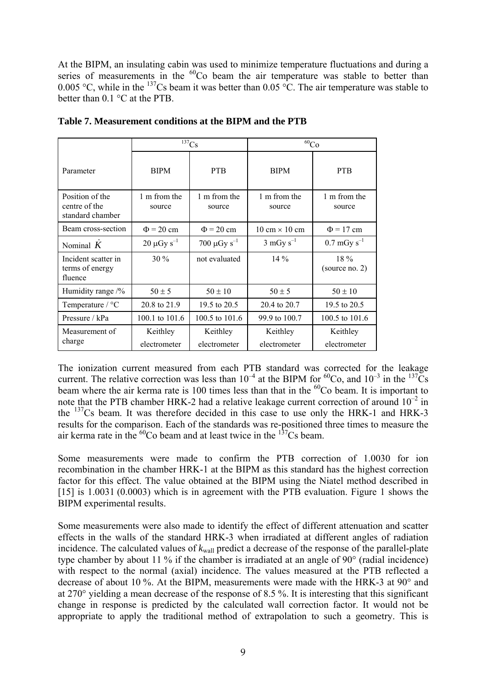At the BIPM, an insulating cabin was used to minimize temperature fluctuations and during a series of measurements in the  ${}^{60}$ Co beam the air temperature was stable to better than 0.005 °C, while in the  $137$ Cs beam it was better than 0.05 °C. The air temperature was stable to better than 0.1 °C at the PTB.

|                                                      |                          | $137$ Cs                     | $^{60}Co$                            |                              |
|------------------------------------------------------|--------------------------|------------------------------|--------------------------------------|------------------------------|
| Parameter                                            | <b>BIPM</b>              | <b>PTB</b>                   | <b>BIPM</b>                          | <b>PTB</b>                   |
| Position of the<br>centre of the<br>standard chamber | 1 m from the<br>source   | 1 m from the<br>source       | 1 m from the<br>source               | 1 m from the<br>source       |
| Beam cross-section                                   | $\Phi$ = 20 cm           | $\Phi$ = 20 cm               | $10 \text{ cm} \times 10 \text{ cm}$ | $\Phi$ = 17 cm               |
| Nominal $K$                                          | $20 \mu Gy s^{-1}$       | 700 $\mu$ Gy s <sup>-1</sup> | $3 \text{ mGy s}^{-1}$               | $0.7 \,\mathrm{mGy\ s}^{-1}$ |
| Incident scatter in<br>terms of energy<br>fluence    | $30\%$                   | not evaluated                | $14\%$                               | $18\%$<br>(source no. 2)     |
| Humidity range /%                                    | $50 \pm 5$               | $50 \pm 10$                  | $50 \pm 5$                           | $50 \pm 10$                  |
| Temperature / °C                                     | 20.8 to 21.9             | 19.5 to 20.5                 | 20.4 to 20.7                         | 19.5 to 20.5                 |
| Pressure / kPa                                       | 100.1 to 101.6           | 100.5 to 101.6               | 99.9 to 100.7                        | 100.5 to 101.6               |
| Measurement of<br>charge                             | Keithley<br>electrometer | Keithley<br>electrometer     | Keithley<br>electrometer             | Keithley<br>electrometer     |

**Table 7. Measurement conditions at the BIPM and the PTB**

The ionization current measured from each PTB standard was corrected for the leakage current. The relative correction was less than  $10^{-4}$  at the BIPM for <sup>60</sup>Co, and  $10^{-3}$  in the <sup>137</sup>Cs beam where the air kerma rate is 100 times less than that in the  ${}^{60}$ Co beam. It is important to note that the PTB chamber HRK-2 had a relative leakage current correction of around  $10^{-2}$  in the 137Cs beam. It was therefore decided in this case to use only the HRK-1 and HRK-3 results for the comparison. Each of the standards was re-positioned three times to measure the air kerma rate in the  ${}^{60}$ Co beam and at least twice in the  ${}^{137}$ Cs beam.

Some measurements were made to confirm the PTB correction of 1.0030 for ion recombination in the chamber HRK-1 at the BIPM as this standard has the highest correction factor for this effect. The value obtained at the BIPM using the Niatel method described in [15] is 1.0031 (0.0003) which is in agreement with the PTB evaluation. Figure 1 shows the BIPM experimental results.

Some measurements were also made to identify the effect of different attenuation and scatter effects in the walls of the standard HRK-3 when irradiated at different angles of radiation incidence. The calculated values of  $k_{wall}$  predict a decrease of the response of the parallel-plate type chamber by about 11 % if the chamber is irradiated at an angle of 90° (radial incidence) with respect to the normal (axial) incidence. The values measured at the PTB reflected a decrease of about 10 %. At the BIPM, measurements were made with the HRK-3 at 90° and at 270° yielding a mean decrease of the response of 8.5 %. It is interesting that this significant change in response is predicted by the calculated wall correction factor. It would not be appropriate to apply the traditional method of extrapolation to such a geometry. This is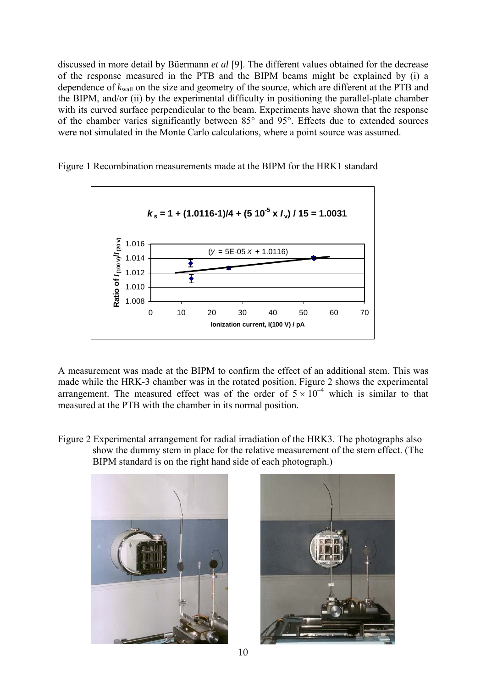discussed in more detail by Büermann *et al* [9]. The different values obtained for the decrease of the response measured in the PTB and the BIPM beams might be explained by (i) a dependence of *k*wall on the size and geometry of the source, which are different at the PTB and the BIPM, and/or (ii) by the experimental difficulty in positioning the parallel-plate chamber with its curved surface perpendicular to the beam. Experiments have shown that the response of the chamber varies significantly between 85° and 95°. Effects due to extended sources were not simulated in the Monte Carlo calculations, where a point source was assumed.



Figure 1 Recombination measurements made at the BIPM for the HRK1 standard

A measurement was made at the BIPM to confirm the effect of an additional stem. This was made while the HRK-3 chamber was in the rotated position. Figure 2 shows the experimental arrangement. The measured effect was of the order of  $5 \times 10^{-4}$  which is similar to that measured at the PTB with the chamber in its normal position.

Figure 2 Experimental arrangement for radial irradiation of the HRK3. The photographs also show the dummy stem in place for the relative measurement of the stem effect. (The BIPM standard is on the right hand side of each photograph.)



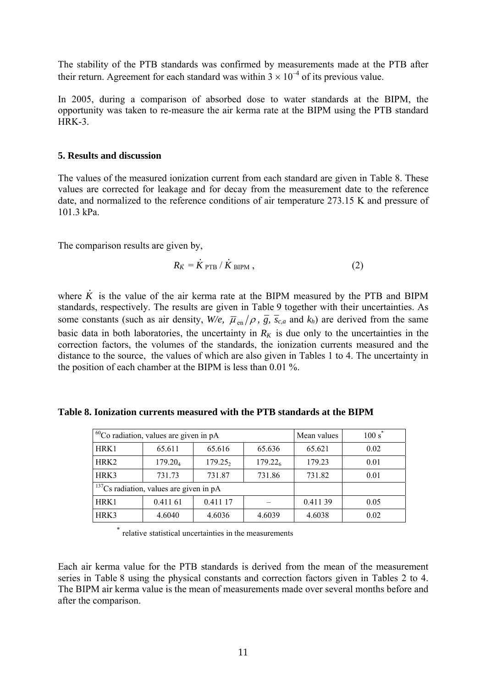The stability of the PTB standards was confirmed by measurements made at the PTB after their return. Agreement for each standard was within  $3 \times 10^{-4}$  of its previous value.

In 2005, during a comparison of absorbed dose to water standards at the BIPM, the opportunity was taken to re-measure the air kerma rate at the BIPM using the PTB standard HRK-3.

### **5. Results and discussion**

The values of the measured ionization current from each standard are given in Table 8. These values are corrected for leakage and for decay from the measurement date to the reference date, and normalized to the reference conditions of air temperature 273.15 K and pressure of 101.3 kPa.

The comparison results are given by,

$$
R_{\dot{K}} = \dot{K}_{\text{PTB}} / \dot{K}_{\text{BIPM}} , \qquad (2)
$$

where *K .* is the value of the air kerma rate at the BIPM measured by the PTB and BIPM standards, respectively. The results are given in Table 9 together with their uncertainties. As some constants (such as air density,  $W/e$ ,  $\overline{\mu}_{en}/\rho$ ,  $\overline{g}$ ,  $\overline{s}_{c,a}$  and  $k_h$ ) are derived from the same basic data in both laboratories, the uncertainty in  $R_K$  is due only to the uncertainties in the correction factors, the volumes of the standards, the ionization currents measured and the distance to the source, the values of which are also given in Tables 1 to 4. The uncertainty in the position of each chamber at the BIPM is less than 0.01 %.

**Table 8. Ionization currents measured with the PTB standards at the BIPM** 

|                  | <sup>60</sup> Co radiation, values are given in pA | Mean values         | $100 s^*$           |         |      |
|------------------|----------------------------------------------------|---------------------|---------------------|---------|------|
| HRK1             | 65.611                                             | 65.616              | 65.636              | 65.621  | 0.02 |
| HRK <sub>2</sub> | $179.20_4$                                         | 179.25 <sub>2</sub> | 179.22 <sub>6</sub> | 179.23  | 0.01 |
| HRK3             | 731.73                                             | 731.87              | 731.86              | 731.82  | 0.01 |
|                  | $137$ Cs radiation, values are given in pA         |                     |                     |         |      |
| HRK1             | 0.411 61                                           | 0.411 17            |                     | 0.41139 | 0.05 |
| HRK3             | 4.6040                                             | 4.6036              | 4.6039              | 4.6038  | 0.02 |

relative statistical uncertainties in the measurements

Each air kerma value for the PTB standards is derived from the mean of the measurement series in Table 8 using the physical constants and correction factors given in Tables 2 to 4. The BIPM air kerma value is the mean of measurements made over several months before and after the comparison.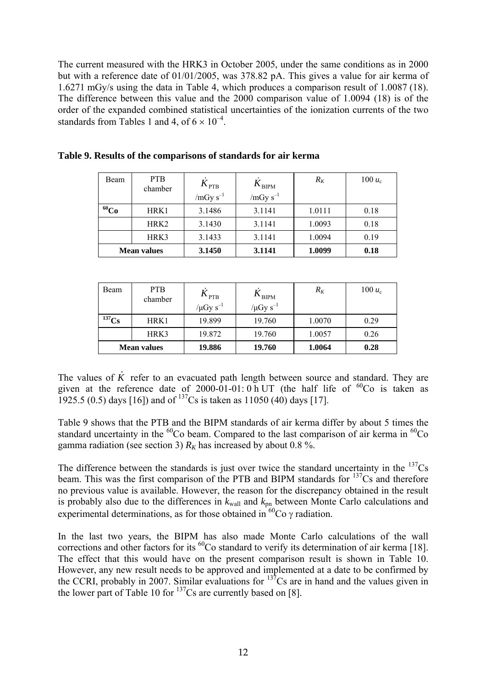The current measured with the HRK3 in October 2005, under the same conditions as in 2000 but with a reference date of 01/01/2005, was 378.82 pA. This gives a value for air kerma of 1.6271 mGy/s using the data in Table 4, which produces a comparison result of 1.0087 (18). The difference between this value and the 2000 comparison value of 1.0094 (18) is of the order of the expanded combined statistical uncertainties of the ionization currents of the two standards from Tables 1 and 4, of  $6 \times 10^{-4}$ .

| Beam      | <b>PTB</b><br>chamber | $K_{\text{PTB}}$ | $K_{\text{BIPM}}$ | $R_K$  | 100 $u_c$ |
|-----------|-----------------------|------------------|-------------------|--------|-----------|
|           |                       | $/mGy s^{-1}$    | $/mGy s^{-1}$     |        |           |
| $^{60}Co$ | HRK1                  | 3.1486           | 3.1141            | 1.0111 | 0.18      |
|           | HRK <sub>2</sub>      | 3.1430           | 3.1141            | 1.0093 | 0.18      |
|           | HRK3                  | 3.1433           | 3.1141            | 1.0094 | 0.19      |
|           | <b>Mean values</b>    | 3.1450           | 3.1141            | 1.0099 | 0.18      |

| Table 9. Results of the comparisons of standards for air kerma |  |  |  |  |  |  |  |  |
|----------------------------------------------------------------|--|--|--|--|--|--|--|--|
|----------------------------------------------------------------|--|--|--|--|--|--|--|--|

| Beam       | <b>PTB</b><br>chamber | $K_{\text{PTB}}$<br>/ $\mu$ Gy s <sup>-1</sup> | $\mathbf{v}_{\text{BIPM}}$<br>/ $\mu$ Gy s <sup>-1</sup> | $R_K$  | 100 $u_c$ |
|------------|-----------------------|------------------------------------------------|----------------------------------------------------------|--------|-----------|
| $^{137}Cs$ | HRK1                  | 19.899                                         | 19.760                                                   | 1.0070 | 0.29      |
|            | HRK3                  | 19.872                                         | 19.760                                                   | 1.0057 | 0.26      |
|            | <b>Mean values</b>    | 19.886                                         | 19.760                                                   | 1.0064 | 0.28      |

The values of *K .* refer to an evacuated path length between source and standard. They are given at the reference date of 2000-01-01:  $0 \text{ h } U$ T (the half life of  ${}^{60}$ Co is taken as 1925.5 (0.5) days [16]) and of  $^{137}Cs$  is taken as 11050 (40) days [17].

Table 9 shows that the PTB and the BIPM standards of air kerma differ by about 5 times the standard uncertainty in the  ${}^{60}$ Co beam. Compared to the last comparison of air kerma in  ${}^{60}$ Co gamma radiation (see section 3)  $R_K$  has increased by about 0.8 %.

The difference between the standards is just over twice the standard uncertainty in the  $137Cs$ beam. This was the first comparison of the PTB and BIPM standards for  $137Cs$  and therefore no previous value is available. However, the reason for the discrepancy obtained in the result is probably also due to the differences in  $k_{wall}$  and  $k_{pn}$  between Monte Carlo calculations and experimental determinations, as for those obtained in  ${}^{60}Co$   $\gamma$  radiation.

In the last two years, the BIPM has also made Monte Carlo calculations of the wall corrections and other factors for its  ${}^{60}Co$  standard to verify its determination of air kerma [18]. The effect that this would have on the present comparison result is shown in Table 10. However, any new result needs to be approved and implemented at a date to be confirmed by the CCRI, probably in 2007. Similar evaluations for  $137$ Cs are in hand and the values given in the lower part of Table 10 for  $137$ Cs are currently based on [8].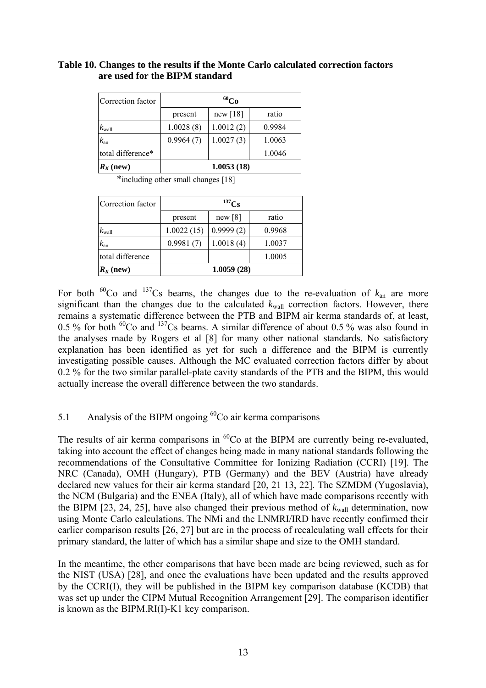# **Table 10. Changes to the results if the Monte Carlo calculated correction factors are used for the BIPM standard**

| Correction factor | $^{60}Co$  |            |        |
|-------------------|------------|------------|--------|
|                   | present    | new $[18]$ | ratio  |
| $k_{\text{wall}}$ | 1.0028(8)  | 1.0012(2)  | 0.9984 |
| $k_{\rm an}$      | 0.9964(7)  | 1.0027(3)  | 1.0063 |
| total difference* |            |            | 1.0046 |
| $R_K$ (new)       | 1.0053(18) |            |        |

\*including other small changes [18]

| Correction factor | $^{137}Cs$ |           |        |
|-------------------|------------|-----------|--------|
|                   | present    | new [8]   | ratio  |
| $k_{\text{wall}}$ | 1.0022(15) | 0.9999(2) | 0.9968 |
| $k_{\rm an}$      | 0.9981(7)  | 1.0018(4) | 1.0037 |
| total difference  |            |           | 1.0005 |
| $R_K$ (new)       | 1.0059(28) |           |        |

For both  ${}^{60}Co$  and  ${}^{137}Cs$  beams, the changes due to the re-evaluation of  $k_{an}$  are more significant than the changes due to the calculated  $k_{wall}$  correction factors. However, there remains a systematic difference between the PTB and BIPM air kerma standards of, at least, 0.5 % for both  ${}^{60}Co$  and  ${}^{137}Cs$  beams. A similar difference of about 0.5 % was also found in the analyses made by Rogers et al [8] for many other national standards. No satisfactory explanation has been identified as yet for such a difference and the BIPM is currently investigating possible causes. Although the MC evaluated correction factors differ by about 0.2 % for the two similar parallel-plate cavity standards of the PTB and the BIPM, this would actually increase the overall difference between the two standards.

# 5.1 Analysis of the BIPM ongoing  ${}^{60}Co$  air kerma comparisons

The results of air kerma comparisons in  ${}^{60}Co$  at the BIPM are currently being re-evaluated, taking into account the effect of changes being made in many national standards following the recommendations of the Consultative Committee for Ionizing Radiation (CCRI) [19]. The NRC (Canada), OMH (Hungary), PTB (Germany) and the BEV (Austria) have already declared new values for their air kerma standard [20, 21 13, 22]. The SZMDM (Yugoslavia), the NCM (Bulgaria) and the ENEA (Italy), all of which have made comparisons recently with the BIPM [23, 24, 25], have also changed their previous method of  $k_{wall}$  determination, now using Monte Carlo calculations. The NMi and the LNMRI/IRD have recently confirmed their earlier comparison results [26, 27] but are in the process of recalculating wall effects for their primary standard, the latter of which has a similar shape and size to the OMH standard.

In the meantime, the other comparisons that have been made are being reviewed, such as for the NIST (USA) [28], and once the evaluations have been updated and the results approved by the CCRI(I), they will be published in the BIPM key comparison database (KCDB) that was set up under the CIPM Mutual Recognition Arrangement [29]. The comparison identifier is known as the BIPM.RI(I)-K1 key comparison.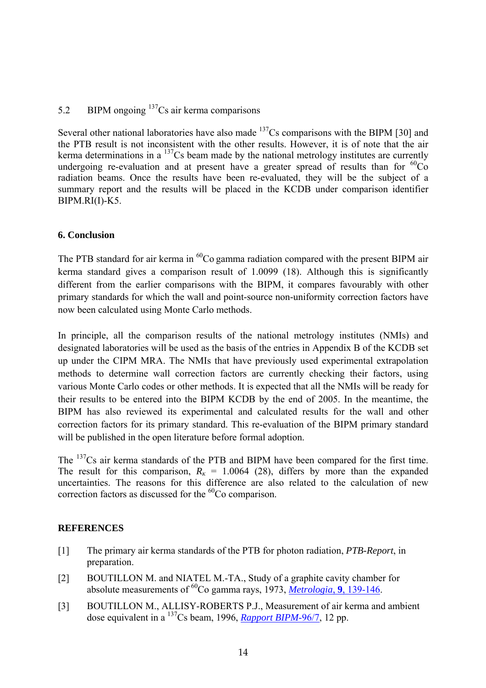# 5.2 BIPM ongoing  $137$ Cs air kerma comparisons

Several other national laboratories have also made  $137Cs$  comparisons with the BIPM [30] and the PTB result is not inconsistent with the other results. However, it is of note that the air kerma determinations in a  $^{137}$ Cs beam made by the national metrology institutes are currently undergoing re-evaluation and at present have a greater spread of results than for  ${}^{60}Co$ radiation beams. Once the results have been re-evaluated, they will be the subject of a summary report and the results will be placed in the KCDB under comparison identifier BIPM.RI(I)-K5.

# **6. Conclusion**

The PTB standard for air kerma in  ${}^{60}Co$  gamma radiation compared with the present BIPM air kerma standard gives a comparison result of 1.0099 (18). Although this is significantly different from the earlier comparisons with the BIPM, it compares favourably with other primary standards for which the wall and point-source non-uniformity correction factors have now been calculated using Monte Carlo methods.

In principle, all the comparison results of the national metrology institutes (NMIs) and designated laboratories will be used as the basis of the entries in Appendix B of the KCDB set up under the CIPM MRA. The NMIs that have previously used experimental extrapolation methods to determine wall correction factors are currently checking their factors, using various Monte Carlo codes or other methods. It is expected that all the NMIs will be ready for their results to be entered into the BIPM KCDB by the end of 2005. In the meantime, the BIPM has also reviewed its experimental and calculated results for the wall and other correction factors for its primary standard. This re-evaluation of the BIPM primary standard will be published in the open literature before formal adoption.

The <sup>137</sup>Cs air kerma standards of the PTB and BIPM have been compared for the first time. The result for this comparison,  $R_k = 1.0064$  (28), differs by more than the expanded uncertainties. The reasons for this difference are also related to the calculation of new correction factors as discussed for the  ${}^{60}Co$  comparison.

# **REFERENCES**

- [1] The primary air kerma standards of the PTB for photon radiation, *PTB-Report*, in preparation.
- [2] BOUTILLON M. and NIATEL M.-TA., Study of a graphite cavity chamber for absolute measurements of 60Co gamma rays, 1973, *[Metrologia](http://www.iop.org/EJ/abstract/0026-1394/9/4/001/)*, **9**, 139-146.
- [3] BOUTILLON M., ALLISY-ROBERTS P.J., Measurement of air kerma and ambient dose equivalent in a 137Cs beam, 1996, *[Rapport BIPM](https://www.bipm.org/jsp/en/ViewBIPMReport.jsp?YEAR=1996&REP=7)*-96/7, 12 pp.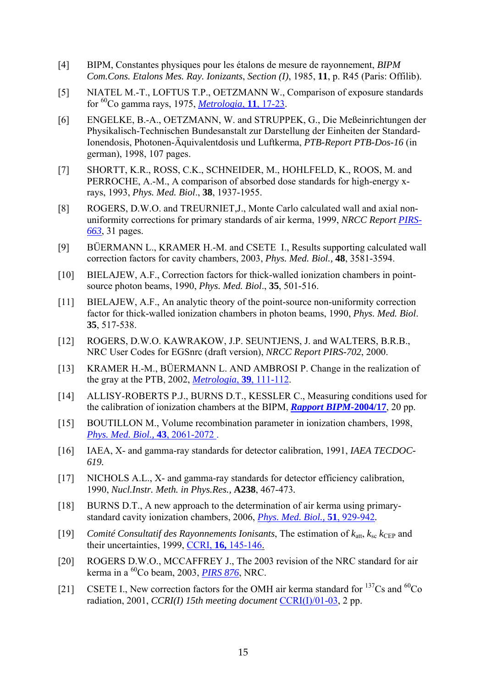- [4] BIPM, Constantes physiques pour les étalons de mesure de rayonnement, *BIPM Com.Cons. Etalons Mes. Ray. Ionizants*, *Section (I)*, 1985, **11**, p. R45 (Paris: Offilib).
- [5] NIATEL M.-T., LOFTUS T.P., OETZMANN W., Comparison of exposure standards for 60Co gamma rays, 1975, *[Metrologia](http://ej.iop.org/links/q28/2dVTMLmM1ftV2CGyqxoC9w/metv11i1p17.pdf)*, **11**, 17-23.
- [6] ENGELKE, B.-A., OETZMANN, W. and STRUPPEK, G., Die Meßeinrichtungen der Physikalisch-Technischen Bundesanstalt zur Darstellung der Einheiten der Standard-Ionendosis, Photonen-Äquivalentdosis und Luftkerma, *PTB-Report PTB-Dos-16* (in german), 1998, 107 pages.
- [7] SHORTT, K.R., ROSS, C.K., SCHNEIDER, M., HOHLFELD, K., ROOS, M. and PERROCHE, A.-M., A comparison of absorbed dose standards for high-energy xrays, 1993, *Phys. Med. Biol*., **38**, 1937-1955.
- [8] ROGERS, D.W.O. and TREURNIET, J., Monte Carlo calculated wall and axial nonuniformity corrections for primary standards of air kerma, 1999, *NRCC Report [PIRS-](http://www.irs.inms.nrc.ca/papers/PIRS663/pirs663.pdf)[663](http://www.irs.inms.nrc.ca/papers/PIRS663/pirs663.pdf)*, 31 pages.
- [9] BÜERMANN L., KRAMER H.-M. and CSETE I., Results supporting calculated wall correction factors for cavity chambers, 2003, *Phys. Med. Biol.,* **48**, 3581-3594.
- [10] BIELAJEW, A.F., Correction factors for thick-walled ionization chambers in pointsource photon beams, 1990, *Phys. Med. Biol*., **35**, 501-516.
- [11] BIELAJEW, A.F., An analytic theory of the point-source non-uniformity correction factor for thick-walled ionization chambers in photon beams, 1990, *Phys. Med. Biol*. **35**, 517-538.
- [12] ROGERS, D.W.O. KAWRAKOW, J.P. SEUNTJENS, J. and WALTERS, B.R.B., NRC User Codes for EGSnrc (draft version), *NRCC Report PIRS-702*, 2000.
- [13] KRAMER H.-M., BÜERMANN L. AND AMBROSI P. Change in the realization of the gray at the PTB, 2002, *[Metrologia](http://www.iop.org/EJ/abstract/0026-1394/39/1/15/)*, **39**, 111-112.
- [14] ALLISY-ROBERTS P.J., BURNS D.T., KESSLER C., Measuring conditions used for the calibration of ionization chambers at the BIPM, *[Rapport BIPM-](https://www.bipm.org/utils/common/pdf/rapportBIPM/2004/17.pdf)***2004/17**, 20 pp.
- [15] BOUTILLON M., Volume recombination parameter in ionization chambers, 1998, *[Phys. Med. Biol.,](http://stacks.iop.org/0031-9155/43/2061)* **43**, 2061-2072 .
- [16] IAEA, X- and gamma-ray standards for detector calibration, 1991, *IAEA TECDOC-619.*
- [17] NICHOLS A.L., X- and gamma-ray standards for detector efficiency calibration, 1990, *Nucl.Instr. Meth. in Phys.Res.,* **A238**, 467-473*.*
- [18] BURNS D.T., A new approach to the determination of air kerma using primarystandard cavity ionization chambers, 2006, *[Phys. Med. Biol.,](http://www.iop.org/EJ/abstract/0031-9155/51/4/012/)* **51**, 929-942*.*
- [19] *Comité Consultatif des Rayonnements Ionisants*, The estimation of  $k_{\text{att}}$ ,  $k_{\text{sc}}$   $k_{\text{CEP}}$  and their uncertainties, 1999, CCRI, **16,** [145-146.](https://www.bipm.org/en/committees/cc/ccri/publications_cc.html)
- [20] ROGERS D.W.O., MCCAFFREY J., The 2003 revision of the NRC standard for air kerma in a 60Co beam, 2003, *[PIRS 876](http://www.irs.inms.nrc.ca/inms/irs/papers/PIRS876/pirs876.pdf)*, NRC.
- [21] CSETE I., New correction factors for the OMH air kerma standard for  $^{137}Cs$  and  $^{60}Co$ radiation, 2001, *CCRI(I) 15th meeting document* [CCRI\(I\)/01-03,](https://www.bipm.org/cc/CCRI(I)/Allowed/15/CCRI(I)01-03.pdf) 2 pp.